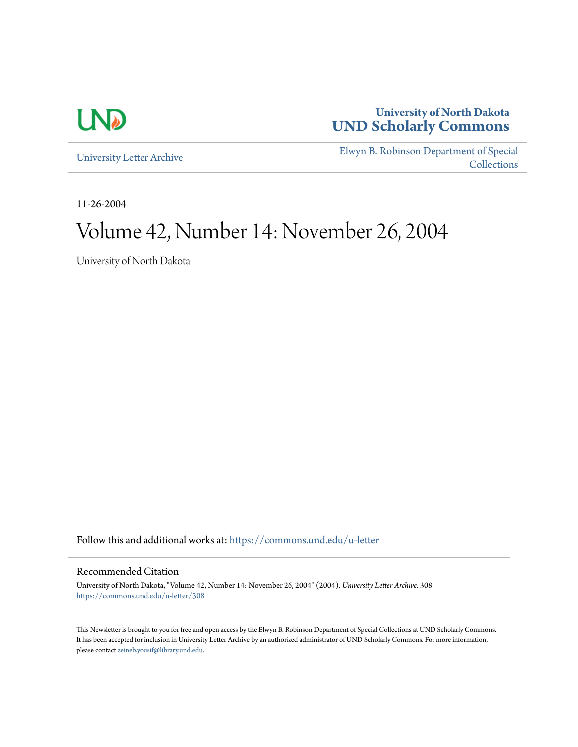

## **University of North Dakota [UND Scholarly Commons](https://commons.und.edu?utm_source=commons.und.edu%2Fu-letter%2F308&utm_medium=PDF&utm_campaign=PDFCoverPages)**

[University Letter Archive](https://commons.und.edu/u-letter?utm_source=commons.und.edu%2Fu-letter%2F308&utm_medium=PDF&utm_campaign=PDFCoverPages)

[Elwyn B. Robinson Department of Special](https://commons.und.edu/archives?utm_source=commons.und.edu%2Fu-letter%2F308&utm_medium=PDF&utm_campaign=PDFCoverPages) **[Collections](https://commons.und.edu/archives?utm_source=commons.und.edu%2Fu-letter%2F308&utm_medium=PDF&utm_campaign=PDFCoverPages)** 

11-26-2004

# Volume 42, Number 14: November 26, 2004

University of North Dakota

Follow this and additional works at: [https://commons.und.edu/u-letter](https://commons.und.edu/u-letter?utm_source=commons.und.edu%2Fu-letter%2F308&utm_medium=PDF&utm_campaign=PDFCoverPages)

#### Recommended Citation

University of North Dakota, "Volume 42, Number 14: November 26, 2004" (2004). *University Letter Archive*. 308. [https://commons.und.edu/u-letter/308](https://commons.und.edu/u-letter/308?utm_source=commons.und.edu%2Fu-letter%2F308&utm_medium=PDF&utm_campaign=PDFCoverPages)

This Newsletter is brought to you for free and open access by the Elwyn B. Robinson Department of Special Collections at UND Scholarly Commons. It has been accepted for inclusion in University Letter Archive by an authorized administrator of UND Scholarly Commons. For more information, please contact [zeineb.yousif@library.und.edu.](mailto:zeineb.yousif@library.und.edu)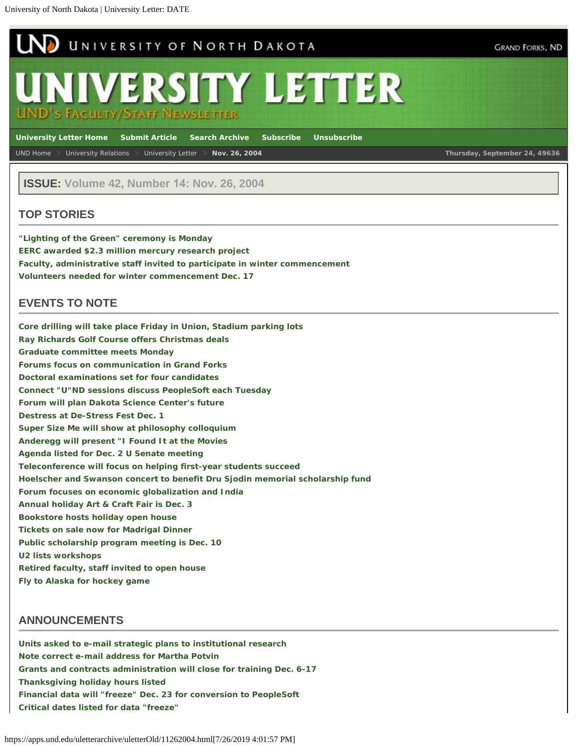<span id="page-1-0"></span>

**ISSUE: Volume 42, Number 14: Nov. 26, 2004**

#### **TOP STORIES**

**["Lighting of the Green" ceremony is Monday](#page-1-0) [EERC awarded \\$2.3 million mercury research project](#page-1-0) [Faculty, administrative staff invited to participate in winter commencement](#page-1-0) [Volunteers needed for winter commencement Dec. 17](#page-1-0)**

#### **EVENTS TO NOTE**

**[Core drilling will take place Friday in Union, Stadium parking lots](#page-1-0) [Ray Richards Golf Course offers Christmas deals](#page-1-0) [Graduate committee meets Monday](#page-1-0) [Forums focus on communication in Grand Forks](#page-1-0) [Doctoral examinations set for four candidates](#page-1-0) [Connect "U"ND sessions discuss PeopleSoft each Tuesday](#page-1-0) [Forum will plan Dakota Science Center's future](#page-1-0) [Destress at De-Stress Fest Dec. 1](#page-1-0)** *[Super Size Me](#page-1-0)* **[will show at philosophy colloquium](#page-1-0) [Anderegg will present "I Found It at the Movies](#page-1-0) [Agenda listed for Dec. 2 U Senate meeting](#page-1-0) [Teleconference will focus on helping first-year students succeed](#page-1-0) [Hoelscher and Swanson concert to benefit Dru Sjodin memorial scholarship fund](#page-1-0) [Forum focuses on economic globalization and India](#page-1-0) [Annual holiday Art & Craft Fair is Dec. 3](#page-1-0) [Bookstore hosts holiday open house](#page-1-0) [Tickets on sale now for Madrigal Dinner](#page-1-0) [Public scholarship program meeting is Dec. 10](#page-1-0) [U2 lists workshops](#page-1-0) [Retired faculty, staff invited to open house](#page-1-0) [Fly to Alaska for hockey game](#page-1-0)**

#### **ANNOUNCEMENTS**

**[Units asked to e-mail strategic plans to institutional research](#page-1-0) [Note correct e-mail address for Martha Potvin](#page-1-0) [Grants and contracts administration will close for training Dec. 6-17](#page-1-0) [Thanksgiving holiday hours listed](#page-1-0) [Financial data will "freeze" Dec. 23 for conversion to PeopleSoft](#page-11-0) [Critical dates listed for data "freeze"](#page-1-0)**

https://apps.und.edu/uletterarchive/uletterOld/11262004.html[7/26/2019 4:01:57 PM]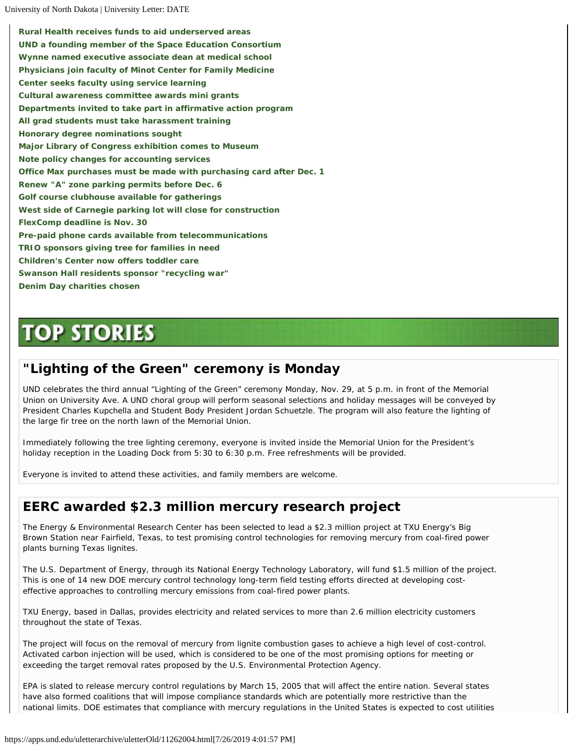**[Rural Health receives funds to aid underserved areas](#page-1-0) [UND a founding member of the Space Education Consortium](#page-1-0) [Wynne named executive associate dean at medical school](#page-1-0) [Physicians join faculty of Minot Center for Family Medicine](#page-1-0) [Center seeks faculty using service learning](#page-1-0) [Cultural awareness committee awards mini grants](#page-1-0) [Departments invited to take part in affirmative action program](#page-1-0) [All grad students must take harassment training](#page-1-0) [Honorary degree nominations sought](#page-1-0) [Major Library of Congress exhibition comes to Museum](#page-1-0) [Note policy changes for accounting services](#page-1-0) [Office Max purchases must be made with purchasing card after Dec. 1](#page-1-0) [Renew "A" zone parking permits before Dec. 6](#page-1-0) [Golf course clubhouse available for gatherings](#page-1-0) [West side of Carnegie parking lot will close for construction](#page-1-0) [FlexComp deadline is Nov. 30](#page-1-0) [Pre-paid phone cards available from telecommunications](#page-1-0) [TRIO sponsors giving tree for families in need](#page-1-0) [Children's Center now offers toddler care](#page-1-0) [Swanson Hall residents sponsor "recycling war"](#page-1-0) [Denim Day charities chosen](#page-1-0)**

# **TOP STORIES**

## **"Lighting of the Green" ceremony is Monday**

UND celebrates the third annual "Lighting of the Green" ceremony Monday, Nov. 29, at 5 p.m. in front of the Memorial Union on University Ave. A UND choral group will perform seasonal selections and holiday messages will be conveyed by President Charles Kupchella and Student Body President Jordan Schuetzle. The program will also feature the lighting of the large fir tree on the north lawn of the Memorial Union.

Immediately following the tree lighting ceremony, everyone is invited inside the Memorial Union for the President's holiday reception in the Loading Dock from 5:30 to 6:30 p.m. Free refreshments will be provided.

Everyone is invited to attend these activities, and family members are welcome.

## **EERC awarded \$2.3 million mercury research project**

The Energy & Environmental Research Center has been selected to lead a \$2.3 million project at TXU Energy's Big Brown Station near Fairfield, Texas, to test promising control technologies for removing mercury from coal-fired power plants burning Texas lignites.

The U.S. Department of Energy, through its National Energy Technology Laboratory, will fund \$1.5 million of the project. This is one of 14 new DOE mercury control technology long-term field testing efforts directed at developing costeffective approaches to controlling mercury emissions from coal-fired power plants.

TXU Energy, based in Dallas, provides electricity and related services to more than 2.6 million electricity customers throughout the state of Texas.

The project will focus on the removal of mercury from lignite combustion gases to achieve a high level of cost-control. Activated carbon injection will be used, which is considered to be one of the most promising options for meeting or exceeding the target removal rates proposed by the U.S. Environmental Protection Agency.

EPA is slated to release mercury control regulations by March 15, 2005 that will affect the entire nation. Several states have also formed coalitions that will impose compliance standards which are potentially more restrictive than the national limits. DOE estimates that compliance with mercury regulations in the United States is expected to cost utilities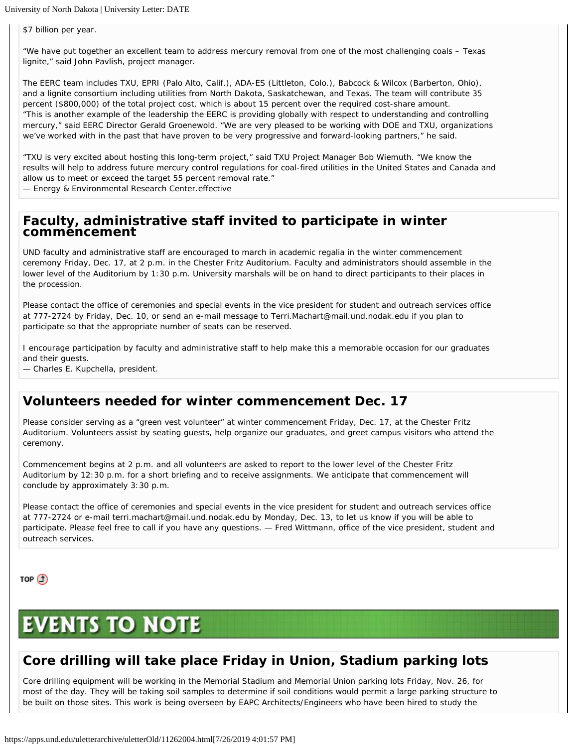\$7 billion per year.

"We have put together an excellent team to address mercury removal from one of the most challenging coals – Texas lignite," said John Pavlish, project manager.

The EERC team includes TXU, EPRI (Palo Alto, Calif.), ADA-ES (Littleton, Colo.), Babcock & Wilcox (Barberton, Ohio), and a lignite consortium including utilities from North Dakota, Saskatchewan, and Texas. The team will contribute 35 percent (\$800,000) of the total project cost, which is about 15 percent over the required cost-share amount. "This is another example of the leadership the EERC is providing globally with respect to understanding and controlling mercury," said EERC Director Gerald Groenewold. "We are very pleased to be working with DOE and TXU, organizations we've worked with in the past that have proven to be very progressive and forward-looking partners," he said.

"TXU is very excited about hosting this long-term project," said TXU Project Manager Bob Wiemuth. "We know the results will help to address future mercury control regulations for coal-fired utilities in the United States and Canada and allow us to meet or exceed the target 55 percent removal rate."

— Energy & Environmental Research Center.effective

### **Faculty, administrative staff invited to participate in winter commencement**

UND faculty and administrative staff are encouraged to march in academic regalia in the winter commencement ceremony Friday, Dec. 17, at 2 p.m. in the Chester Fritz Auditorium. Faculty and administrators should assemble in the lower level of the Auditorium by 1:30 p.m. University marshals will be on hand to direct participants to their places in the procession.

Please contact the office of ceremonies and special events in the vice president for student and outreach services office at 777-2724 by Friday, Dec. 10, or send an e-mail message to Terri.Machart@mail.und.nodak.edu if you plan to participate so that the appropriate number of seats can be reserved.

I encourage participation by faculty and administrative staff to help make this a memorable occasion for our graduates and their guests.

— Charles E. Kupchella, president.

## **Volunteers needed for winter commencement Dec. 17**

Please consider serving as a "green vest volunteer" at winter commencement Friday, Dec. 17, at the Chester Fritz Auditorium. Volunteers assist by seating guests, help organize our graduates, and greet campus visitors who attend the ceremony.

Commencement begins at 2 p.m. and all volunteers are asked to report to the lower level of the Chester Fritz Auditorium by 12:30 p.m. for a short briefing and to receive assignments. We anticipate that commencement will conclude by approximately 3:30 p.m.

Please contact the office of ceremonies and special events in the vice president for student and outreach services office at 777-2724 or e-mail terri.machart@mail.und.nodak.edu by Monday, Dec. 13, to let us know if you will be able to participate. Please feel free to call if you have any questions. — Fred Wittmann, office of the vice president, student and outreach services.

TOP  $\textcircled{1}$ 

# **EVENTS TO NOTE**

## **Core drilling will take place Friday in Union, Stadium parking lots**

Core drilling equipment will be working in the Memorial Stadium and Memorial Union parking lots Friday, Nov. 26, for most of the day. They will be taking soil samples to determine if soil conditions would permit a large parking structure to be built on those sites. This work is being overseen by EAPC Architects/Engineers who have been hired to study the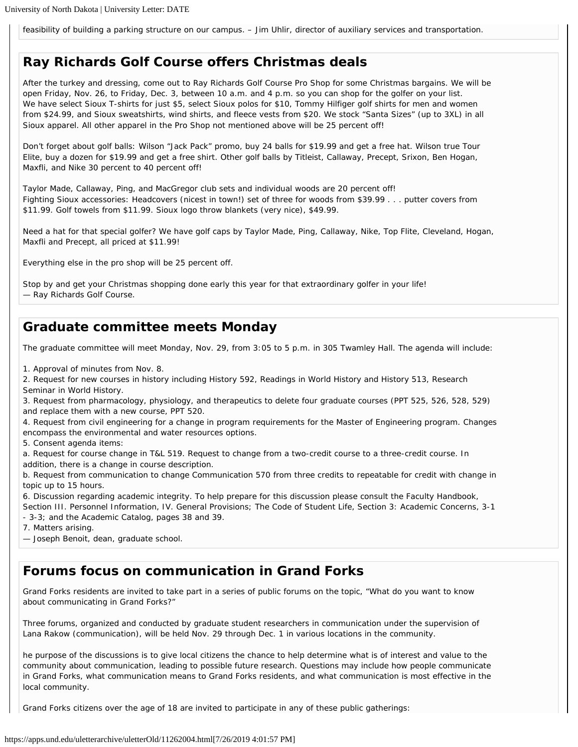feasibility of building a parking structure on our campus. – Jim Uhlir, director of auxiliary services and transportation.

## **Ray Richards Golf Course offers Christmas deals**

After the turkey and dressing, come out to Ray Richards Golf Course Pro Shop for some Christmas bargains. We will be open Friday, Nov. 26, to Friday, Dec. 3, between 10 a.m. and 4 p.m. so you can shop for the golfer on your list. We have select Sioux T-shirts for just \$5, select Sioux polos for \$10, Tommy Hilfiger golf shirts for men and women from \$24.99, and Sioux sweatshirts, wind shirts, and fleece vests from \$20. We stock "Santa Sizes" (up to 3XL) in all Sioux apparel. All other apparel in the Pro Shop not mentioned above will be 25 percent off!

Don't forget about golf balls: Wilson "Jack Pack" promo, buy 24 balls for \$19.99 and get a free hat. Wilson true Tour Elite, buy a dozen for \$19.99 and get a free shirt. Other golf balls by Titleist, Callaway, Precept, Srixon, Ben Hogan, Maxfli, and Nike 30 percent to 40 percent off!

Taylor Made, Callaway, Ping, and MacGregor club sets and individual woods are 20 percent off! Fighting Sioux accessories: Headcovers (nicest in town!) set of three for woods from \$39.99 . . . putter covers from \$11.99. Golf towels from \$11.99. Sioux logo throw blankets (very nice), \$49.99.

Need a hat for that special golfer? We have golf caps by Taylor Made, Ping, Callaway, Nike, Top Flite, Cleveland, Hogan, Maxfli and Precept, all priced at \$11.99!

Everything else in the pro shop will be 25 percent off.

Stop by and get your Christmas shopping done early this year for that extraordinary golfer in your life! — Ray Richards Golf Course.

## **Graduate committee meets Monday**

The graduate committee will meet Monday, Nov. 29, from 3:05 to 5 p.m. in 305 Twamley Hall. The agenda will include:

1. Approval of minutes from Nov. 8.

2. Request for new courses in history including History 592, Readings in World History and History 513, Research Seminar in World History.

3. Request from pharmacology, physiology, and therapeutics to delete four graduate courses (PPT 525, 526, 528, 529) and replace them with a new course, PPT 520.

4. Request from civil engineering for a change in program requirements for the Master of Engineering program. Changes encompass the environmental and water resources options.

5. Consent agenda items:

a. Request for course change in T&L 519. Request to change from a two-credit course to a three-credit course. In addition, there is a change in course description.

b. Request from communication to change Communication 570 from three credits to repeatable for credit with change in topic up to 15 hours.

6. Discussion regarding academic integrity. To help prepare for this discussion please consult the Faculty Handbook, Section III. Personnel Information, IV. General Provisions; The Code of Student Life, Section 3: Academic Concerns, 3-1

- 3-3; and the Academic Catalog, pages 38 and 39.

7. Matters arising.

— Joseph Benoit, dean, graduate school.

### **Forums focus on communication in Grand Forks**

Grand Forks residents are invited to take part in a series of public forums on the topic, "What do you want to know about communicating in Grand Forks?"

Three forums, organized and conducted by graduate student researchers in communication under the supervision of Lana Rakow (communication), will be held Nov. 29 through Dec. 1 in various locations in the community.

he purpose of the discussions is to give local citizens the chance to help determine what is of interest and value to the community about communication, leading to possible future research. Questions may include how people communicate in Grand Forks, what communication means to Grand Forks residents, and what communication is most effective in the local community.

Grand Forks citizens over the age of 18 are invited to participate in any of these public gatherings: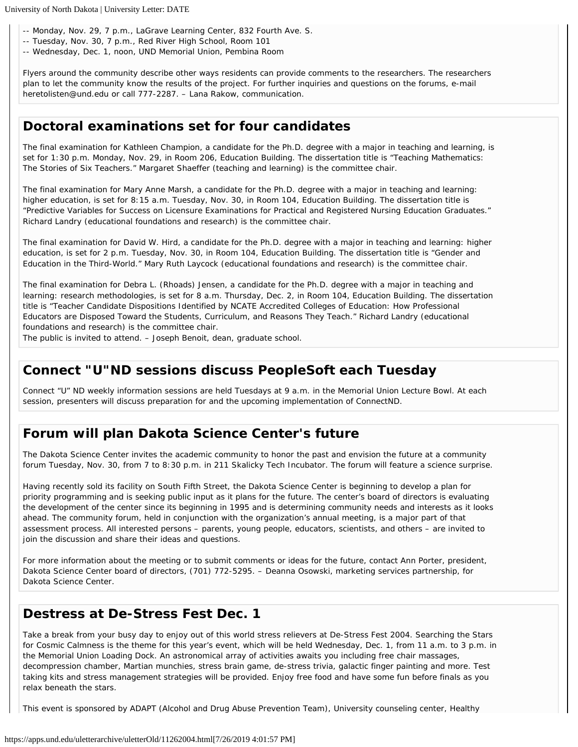-- Monday, Nov. 29, 7 p.m., LaGrave Learning Center, 832 Fourth Ave. S.

- -- Tuesday, Nov. 30, 7 p.m., Red River High School, Room 101
- -- Wednesday, Dec. 1, noon, UND Memorial Union, Pembina Room

Flyers around the community describe other ways residents can provide comments to the researchers. The researchers plan to let the community know the results of the project. For further inquiries and questions on the forums, e-mail heretolisten@und.edu or call 777-2287. – Lana Rakow, communication.

## **Doctoral examinations set for four candidates**

The final examination for Kathleen Champion, a candidate for the Ph.D. degree with a major in teaching and learning, is set for 1:30 p.m. Monday, Nov. 29, in Room 206, Education Building. The dissertation title is "Teaching Mathematics: The Stories of Six Teachers." Margaret Shaeffer (teaching and learning) is the committee chair.

The final examination for Mary Anne Marsh, a candidate for the Ph.D. degree with a major in teaching and learning: higher education, is set for 8:15 a.m. Tuesday, Nov. 30, in Room 104, Education Building. The dissertation title is "Predictive Variables for Success on Licensure Examinations for Practical and Registered Nursing Education Graduates." Richard Landry (educational foundations and research) is the committee chair.

The final examination for David W. Hird, a candidate for the Ph.D. degree with a major in teaching and learning: higher education, is set for 2 p.m. Tuesday, Nov. 30, in Room 104, Education Building. The dissertation title is "Gender and Education in the Third-World." Mary Ruth Laycock (educational foundations and research) is the committee chair.

The final examination for Debra L. (Rhoads) Jensen, a candidate for the Ph.D. degree with a major in teaching and learning: research methodologies, is set for 8 a.m. Thursday, Dec. 2, in Room 104, Education Building. The dissertation title is "Teacher Candidate Dispositions Identified by NCATE Accredited Colleges of Education: How Professional Educators are Disposed Toward the Students, Curriculum, and Reasons They Teach." Richard Landry (educational foundations and research) is the committee chair.

The public is invited to attend. – Joseph Benoit, dean, graduate school.

## **Connect "U"ND sessions discuss PeopleSoft each Tuesday**

Connect "U" ND weekly information sessions are held Tuesdays at 9 a.m. in the Memorial Union Lecture Bowl. At each session, presenters will discuss preparation for and the upcoming implementation of ConnectND.

## **Forum will plan Dakota Science Center's future**

The Dakota Science Center invites the academic community to honor the past and envision the future at a community forum Tuesday, Nov. 30, from 7 to 8:30 p.m. in 211 Skalicky Tech Incubator. The forum will feature a science surprise.

Having recently sold its facility on South Fifth Street, the Dakota Science Center is beginning to develop a plan for priority programming and is seeking public input as it plans for the future. The center's board of directors is evaluating the development of the center since its beginning in 1995 and is determining community needs and interests as it looks ahead. The community forum, held in conjunction with the organization's annual meeting, is a major part of that assessment process. All interested persons – parents, young people, educators, scientists, and others – are invited to join the discussion and share their ideas and questions.

For more information about the meeting or to submit comments or ideas for the future, contact Ann Porter, president, Dakota Science Center board of directors, (701) 772-5295. – Deanna Osowski, marketing services partnership, for Dakota Science Center.

## **Destress at De-Stress Fest Dec. 1**

Take a break from your busy day to enjoy out of this world stress relievers at De-Stress Fest 2004. Searching the Stars for Cosmic Calmness is the theme for this year's event, which will be held Wednesday, Dec. 1, from 11 a.m. to 3 p.m. in the Memorial Union Loading Dock. An astronomical array of activities awaits you including free chair massages, decompression chamber, Martian munchies, stress brain game, de-stress trivia, galactic finger painting and more. Test taking kits and stress management strategies will be provided. Enjoy free food and have some fun before finals as you relax beneath the stars.

This event is sponsored by ADAPT (Alcohol and Drug Abuse Prevention Team), University counseling center, Healthy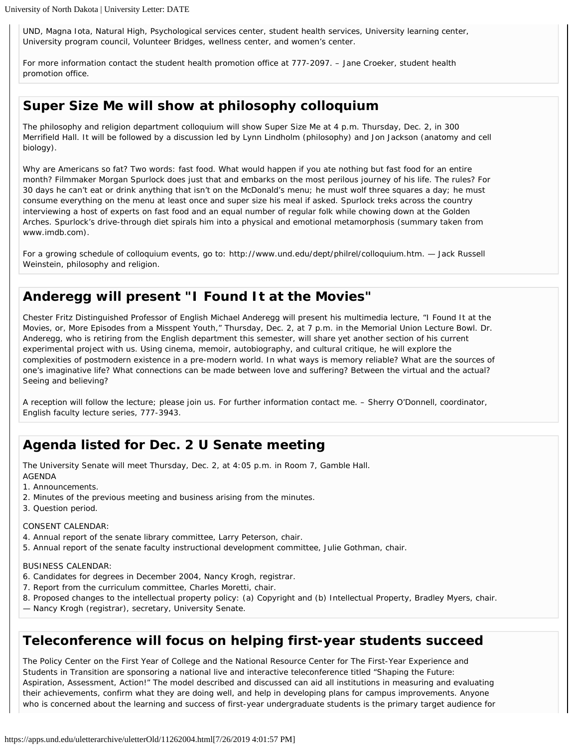UND, Magna Iota, Natural High, Psychological services center, student health services, University learning center, University program council, Volunteer Bridges, wellness center, and women's center.

For more information contact the student health promotion office at 777-2097. – Jane Croeker, student health promotion office.

## *Super Size Me* **will show at philosophy colloquium**

The philosophy and religion department colloquium will show Super Size Me at 4 p.m. Thursday, Dec. 2, in 300 Merrifield Hall. It will be followed by a discussion led by Lynn Lindholm (philosophy) and Jon Jackson (anatomy and cell biology).

Why are Americans so fat? Two words: fast food. What would happen if you ate nothing but fast food for an entire month? Filmmaker Morgan Spurlock does just that and embarks on the most perilous journey of his life. The rules? For 30 days he can't eat or drink anything that isn't on the McDonald's menu; he must wolf three squares a day; he must consume everything on the menu at least once and super size his meal if asked. Spurlock treks across the country interviewing a host of experts on fast food and an equal number of regular folk while chowing down at the Golden Arches. Spurlock's drive-through diet spirals him into a physical and emotional metamorphosis (summary taken from www.imdb.com).

For a growing schedule of colloquium events, go to: http://www.und.edu/dept/philrel/colloquium.htm. — Jack Russell Weinstein, philosophy and religion.

## **Anderegg will present "I Found It at the Movies"**

Chester Fritz Distinguished Professor of English Michael Anderegg will present his multimedia lecture, "I Found It at the Movies, or, More Episodes from a Misspent Youth," Thursday, Dec. 2, at 7 p.m. in the Memorial Union Lecture Bowl. Dr. Anderegg, who is retiring from the English department this semester, will share yet another section of his current experimental project with us. Using cinema, memoir, autobiography, and cultural critique, he will explore the complexities of postmodern existence in a pre-modern world. In what ways is memory reliable? What are the sources of one's imaginative life? What connections can be made between love and suffering? Between the virtual and the actual? Seeing and believing?

A reception will follow the lecture; please join us. For further information contact me. – Sherry O'Donnell, coordinator, English faculty lecture series, 777-3943.

## **Agenda listed for Dec. 2 U Senate meeting**

The University Senate will meet Thursday, Dec. 2, at 4:05 p.m. in Room 7, Gamble Hall. AGENDA

- 1. Announcements.
- 2. Minutes of the previous meeting and business arising from the minutes.
- 3. Question period.

#### CONSENT CALENDAR:

- 4. Annual report of the senate library committee, Larry Peterson, chair.
- 5. Annual report of the senate faculty instructional development committee, Julie Gothman, chair.

#### BUSINESS CALENDAR:

- 6. Candidates for degrees in December 2004, Nancy Krogh, registrar.
- 7. Report from the curriculum committee, Charles Moretti, chair.
- 8. Proposed changes to the intellectual property policy: (a) Copyright and (b) Intellectual Property, Bradley Myers, chair.
- Nancy Krogh (registrar), secretary, University Senate.

## **Teleconference will focus on helping first-year students succeed**

The Policy Center on the First Year of College and the National Resource Center for The First-Year Experience and Students in Transition are sponsoring a national live and interactive teleconference titled "Shaping the Future: Aspiration, Assessment, Action!" The model described and discussed can aid all institutions in measuring and evaluating their achievements, confirm what they are doing well, and help in developing plans for campus improvements. Anyone who is concerned about the learning and success of first-year undergraduate students is the primary target audience for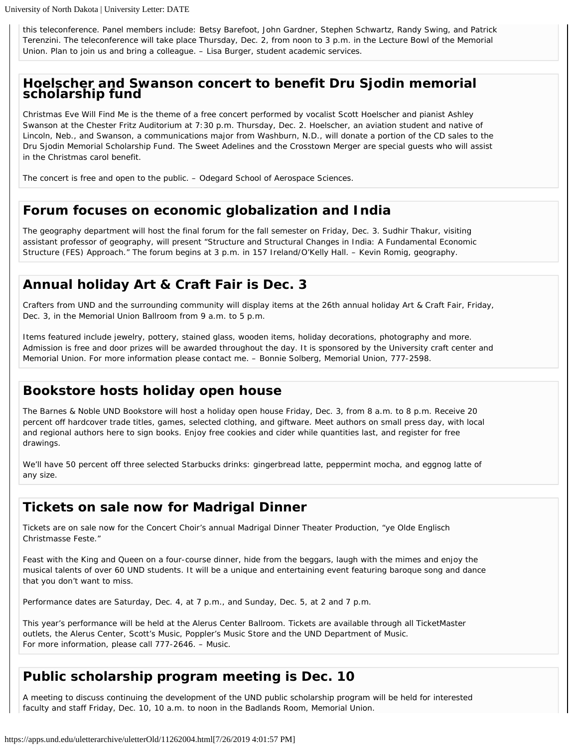this teleconference. Panel members include: Betsy Barefoot, John Gardner, Stephen Schwartz, Randy Swing, and Patrick Terenzini. The teleconference will take place Thursday, Dec. 2, from noon to 3 p.m. in the Lecture Bowl of the Memorial Union. Plan to join us and bring a colleague. – Lisa Burger, student academic services.

# **Hoelscher and Swanson concert to benefit Dru Sjodin memorial scholarship fund**

Christmas Eve Will Find Me is the theme of a free concert performed by vocalist Scott Hoelscher and pianist Ashley Swanson at the Chester Fritz Auditorium at 7:30 p.m. Thursday, Dec. 2. Hoelscher, an aviation student and native of Lincoln, Neb., and Swanson, a communications major from Washburn, N.D., will donate a portion of the CD sales to the Dru Sjodin Memorial Scholarship Fund. The Sweet Adelines and the Crosstown Merger are special guests who will assist in the Christmas carol benefit.

The concert is free and open to the public. – Odegard School of Aerospace Sciences.

### **Forum focuses on economic globalization and India**

The geography department will host the final forum for the fall semester on Friday, Dec. 3. Sudhir Thakur, visiting assistant professor of geography, will present "Structure and Structural Changes in India: A Fundamental Economic Structure (FES) Approach." The forum begins at 3 p.m. in 157 Ireland/O'Kelly Hall. – Kevin Romig, geography.

## **Annual holiday Art & Craft Fair is Dec. 3**

Crafters from UND and the surrounding community will display items at the 26th annual holiday Art & Craft Fair, Friday, Dec. 3, in the Memorial Union Ballroom from 9 a.m. to 5 p.m.

Items featured include jewelry, pottery, stained glass, wooden items, holiday decorations, photography and more. Admission is free and door prizes will be awarded throughout the day. It is sponsored by the University craft center and Memorial Union. For more information please contact me. – Bonnie Solberg, Memorial Union, 777-2598.

## **Bookstore hosts holiday open house**

The Barnes & Noble UND Bookstore will host a holiday open house Friday, Dec. 3, from 8 a.m. to 8 p.m. Receive 20 percent off hardcover trade titles, games, selected clothing, and giftware. Meet authors on small press day, with local and regional authors here to sign books. Enjoy free cookies and cider while quantities last, and register for free drawings.

We'll have 50 percent off three selected Starbucks drinks: gingerbread latte, peppermint mocha, and eggnog latte of any size.

## **Tickets on sale now for Madrigal Dinner**

Tickets are on sale now for the Concert Choir's annual Madrigal Dinner Theater Production, "ye Olde Englisch Christmasse Feste."

Feast with the King and Queen on a four-course dinner, hide from the beggars, laugh with the mimes and enjoy the musical talents of over 60 UND students. It will be a unique and entertaining event featuring baroque song and dance that you don't want to miss.

Performance dates are Saturday, Dec. 4, at 7 p.m., and Sunday, Dec. 5, at 2 and 7 p.m.

This year's performance will be held at the Alerus Center Ballroom. Tickets are available through all TicketMaster outlets, the Alerus Center, Scott's Music, Poppler's Music Store and the UND Department of Music. For more information, please call 777-2646. – Music.

## **Public scholarship program meeting is Dec. 10**

A meeting to discuss continuing the development of the UND public scholarship program will be held for interested faculty and staff Friday, Dec. 10, 10 a.m. to noon in the Badlands Room, Memorial Union.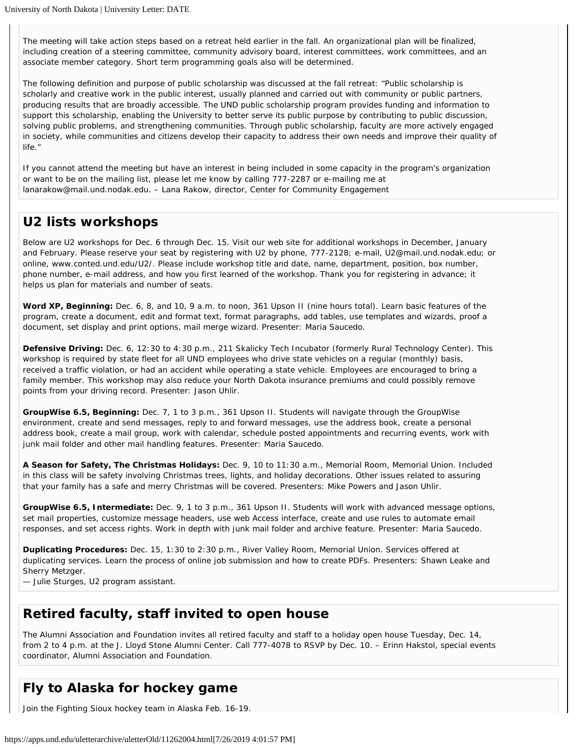The meeting will take action steps based on a retreat held earlier in the fall. An organizational plan will be finalized, including creation of a steering committee, community advisory board, interest committees, work committees, and an associate member category. Short term programming goals also will be determined.

The following definition and purpose of public scholarship was discussed at the fall retreat: "Public scholarship is scholarly and creative work in the public interest, usually planned and carried out with community or public partners, producing results that are broadly accessible. The UND public scholarship program provides funding and information to support this scholarship, enabling the University to better serve its public purpose by contributing to public discussion, solving public problems, and strengthening communities. Through public scholarship, faculty are more actively engaged in society, while communities and citizens develop their capacity to address their own needs and improve their quality of life."

If you cannot attend the meeting but have an interest in being included in some capacity in the program's organization or want to be on the mailing list, please let me know by calling 777-2287 or e-mailing me at lanarakow@mail.und.nodak.edu. – Lana Rakow, director, Center for Community Engagement

## **U2 lists workshops**

Below are U2 workshops for Dec. 6 through Dec. 15. Visit our web site for additional workshops in December, January and February. Please reserve your seat by registering with U2 by phone, 777-2128; e-mail, U2@mail.und.nodak.edu; or online, www.conted.und.edu/U2/. Please include workshop title and date, name, department, position, box number, phone number, e-mail address, and how you first learned of the workshop. Thank you for registering in advance; it helps us plan for materials and number of seats.

**Word XP, Beginning:** Dec. 6, 8, and 10, 9 a.m. to noon, 361 Upson II (nine hours total). Learn basic features of the program, create a document, edit and format text, format paragraphs, add tables, use templates and wizards, proof a document, set display and print options, mail merge wizard. Presenter: Maria Saucedo.

**Defensive Driving:** Dec. 6, 12:30 to 4:30 p.m., 211 Skalicky Tech Incubator (formerly Rural Technology Center). This workshop is required by state fleet for all UND employees who drive state vehicles on a regular (monthly) basis, received a traffic violation, or had an accident while operating a state vehicle. Employees are encouraged to bring a family member. This workshop may also reduce your North Dakota insurance premiums and could possibly remove points from your driving record. Presenter: Jason Uhlir.

**GroupWise 6.5, Beginning:** Dec. 7, 1 to 3 p.m., 361 Upson II. Students will navigate through the GroupWise environment, create and send messages, reply to and forward messages, use the address book, create a personal address book, create a mail group, work with calendar, schedule posted appointments and recurring events, work with junk mail folder and other mail handling features. Presenter: Maria Saucedo.

**A Season for Safety, The Christmas Holidays:** Dec. 9, 10 to 11:30 a.m., Memorial Room, Memorial Union. Included in this class will be safety involving Christmas trees, lights, and holiday decorations. Other issues related to assuring that your family has a safe and merry Christmas will be covered. Presenters: Mike Powers and Jason Uhlir.

**GroupWise 6.5, Intermediate:** Dec. 9, 1 to 3 p.m., 361 Upson II. Students will work with advanced message options, set mail properties, customize message headers, use web Access interface, create and use rules to automate email responses, and set access rights. Work in depth with junk mail folder and archive feature. Presenter: Maria Saucedo.

**Duplicating Procedures:** Dec. 15, 1:30 to 2:30 p.m., River Valley Room, Memorial Union. Services offered at duplicating services. Learn the process of online job submission and how to create PDFs. Presenters: Shawn Leake and Sherry Metzger.

— Julie Sturges, U2 program assistant.

## **Retired faculty, staff invited to open house**

The Alumni Association and Foundation invites all retired faculty and staff to a holiday open house Tuesday, Dec. 14, from 2 to 4 p.m. at the J. Lloyd Stone Alumni Center. Call 777-4078 to RSVP by Dec. 10. – Erinn Hakstol, special events coordinator, Alumni Association and Foundation.

## **Fly to Alaska for hockey game**

Join the Fighting Sioux hockey team in Alaska Feb. 16-19.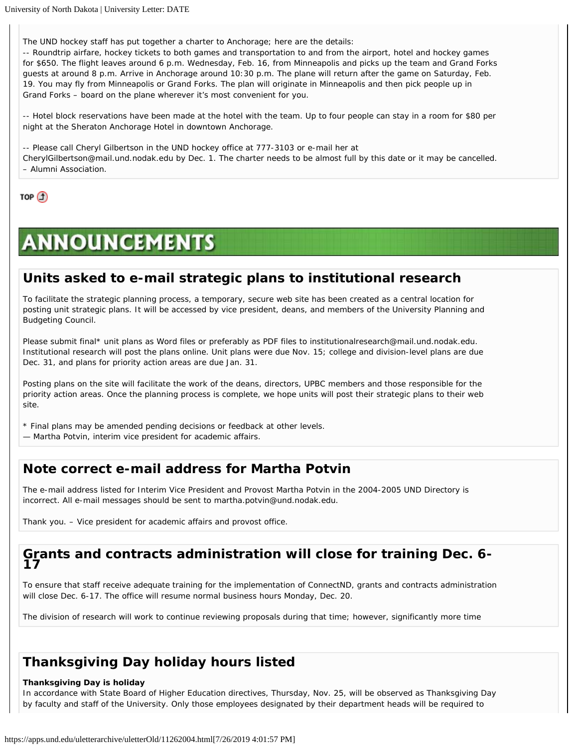The UND hockey staff has put together a charter to Anchorage; here are the details:

-- Roundtrip airfare, hockey tickets to both games and transportation to and from the airport, hotel and hockey games for \$650. The flight leaves around 6 p.m. Wednesday, Feb. 16, from Minneapolis and picks up the team and Grand Forks guests at around 8 p.m. Arrive in Anchorage around 10:30 p.m. The plane will return after the game on Saturday, Feb. 19. You may fly from Minneapolis or Grand Forks. The plan will originate in Minneapolis and then pick people up in Grand Forks – board on the plane wherever it's most convenient for you.

-- Hotel block reservations have been made at the hotel with the team. Up to four people can stay in a room for \$80 per night at the Sheraton Anchorage Hotel in downtown Anchorage.

-- Please call Cheryl Gilbertson in the UND hockey office at 777-3103 or e-mail her at

CherylGilbertson@mail.und.nodak.edu by Dec. 1. The charter needs to be almost full by this date or it may be cancelled. – Alumni Association.

TOP  $\bigcirc$ 

# **ANNOUNCEMENTS**

### **Units asked to e-mail strategic plans to institutional research**

To facilitate the strategic planning process, a temporary, secure web site has been created as a central location for posting unit strategic plans. It will be accessed by vice president, deans, and members of the University Planning and Budgeting Council.

Please submit final\* unit plans as Word files or preferably as PDF files to institutionalresearch@mail.und.nodak.edu. Institutional research will post the plans online. Unit plans were due Nov. 15; college and division-level plans are due Dec. 31, and plans for priority action areas are due Jan. 31.

Posting plans on the site will facilitate the work of the deans, directors, UPBC members and those responsible for the priority action areas. Once the planning process is complete, we hope units will post their strategic plans to their web site.

- \* Final plans may be amended pending decisions or feedback at other levels.
- Martha Potvin, interim vice president for academic affairs.

### **Note correct e-mail address for Martha Potvin**

The e-mail address listed for Interim Vice President and Provost Martha Potvin in the 2004-2005 UND Directory is incorrect. All e-mail messages should be sent to martha.potvin@und.nodak.edu.

Thank you. – Vice president for academic affairs and provost office.

#### **Grants and contracts administration will close for training Dec. 6- 17**

To ensure that staff receive adequate training for the implementation of ConnectND, grants and contracts administration will close Dec. 6-17. The office will resume normal business hours Monday, Dec. 20.

The division of research will work to continue reviewing proposals during that time; however, significantly more time

## **Thanksgiving Day holiday hours listed**

#### **Thanksgiving Day is holiday**

In accordance with State Board of Higher Education directives, Thursday, Nov. 25, will be observed as Thanksgiving Day by faculty and staff of the University. Only those employees designated by their department heads will be required to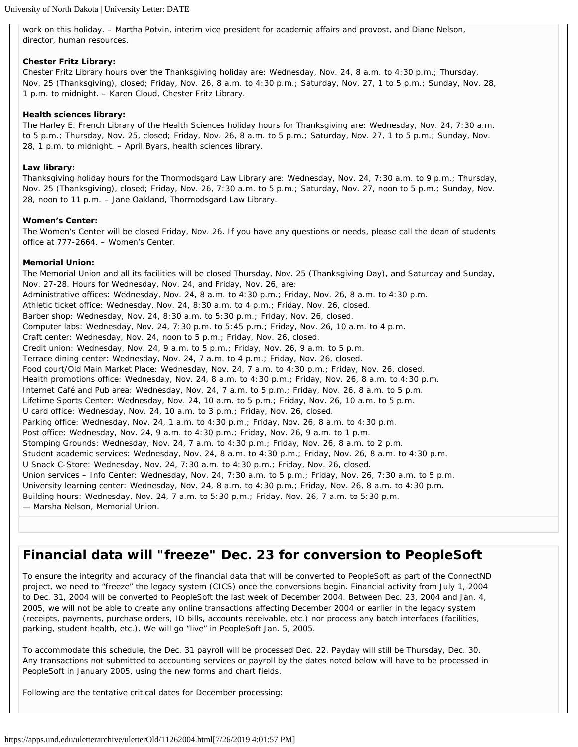work on this holiday. – Martha Potvin, interim vice president for academic affairs and provost, and Diane Nelson, director, human resources.

#### **Chester Fritz Library:**

Chester Fritz Library hours over the Thanksgiving holiday are: Wednesday, Nov. 24, 8 a.m. to 4:30 p.m.; Thursday, Nov. 25 (Thanksgiving), closed; Friday, Nov. 26, 8 a.m. to 4:30 p.m.; Saturday, Nov. 27, 1 to 5 p.m.; Sunday, Nov. 28, 1 p.m. to midnight. – Karen Cloud, Chester Fritz Library.

#### **Health sciences library:**

The Harley E. French Library of the Health Sciences holiday hours for Thanksgiving are: Wednesday, Nov. 24, 7:30 a.m. to 5 p.m.; Thursday, Nov. 25, closed; Friday, Nov. 26, 8 a.m. to 5 p.m.; Saturday, Nov. 27, 1 to 5 p.m.; Sunday, Nov. 28, 1 p.m. to midnight. – April Byars, health sciences library.

#### **Law library:**

Thanksgiving holiday hours for the Thormodsgard Law Library are: Wednesday, Nov. 24, 7:30 a.m. to 9 p.m.; Thursday, Nov. 25 (Thanksgiving), closed; Friday, Nov. 26, 7:30 a.m. to 5 p.m.; Saturday, Nov. 27, noon to 5 p.m.; Sunday, Nov. 28, noon to 11 p.m. – Jane Oakland, Thormodsgard Law Library.

#### **Women's Center:**

The Women's Center will be closed Friday, Nov. 26. If you have any questions or needs, please call the dean of students office at 777-2664. – Women's Center.

#### **Memorial Union:**

The Memorial Union and all its facilities will be closed Thursday, Nov. 25 (Thanksgiving Day), and Saturday and Sunday, Nov. 27-28. Hours for Wednesday, Nov. 24, and Friday, Nov. 26, are: Administrative offices: Wednesday, Nov. 24, 8 a.m. to 4:30 p.m.; Friday, Nov. 26, 8 a.m. to 4:30 p.m. Athletic ticket office: Wednesday, Nov. 24, 8:30 a.m. to 4 p.m.; Friday, Nov. 26, closed. Barber shop: Wednesday, Nov. 24, 8:30 a.m. to 5:30 p.m.; Friday, Nov. 26, closed. Computer labs: Wednesday, Nov. 24, 7:30 p.m. to 5:45 p.m.; Friday, Nov. 26, 10 a.m. to 4 p.m. Craft center: Wednesday, Nov. 24, noon to 5 p.m.; Friday, Nov. 26, closed. Credit union: Wednesday, Nov. 24, 9 a.m. to 5 p.m.; Friday, Nov. 26, 9 a.m. to 5 p.m. Terrace dining center: Wednesday, Nov. 24, 7 a.m. to 4 p.m.; Friday, Nov. 26, closed. Food court/Old Main Market Place: Wednesday, Nov. 24, 7 a.m. to 4:30 p.m.; Friday, Nov. 26, closed. Health promotions office: Wednesday, Nov. 24, 8 a.m. to 4:30 p.m.; Friday, Nov. 26, 8 a.m. to 4:30 p.m. Internet Café and Pub area: Wednesday, Nov. 24, 7 a.m. to 5 p.m.; Friday, Nov. 26, 8 a.m. to 5 p.m. Lifetime Sports Center: Wednesday, Nov. 24, 10 a.m. to 5 p.m.; Friday, Nov. 26, 10 a.m. to 5 p.m. U card office: Wednesday, Nov. 24, 10 a.m. to 3 p.m.; Friday, Nov. 26, closed. Parking office: Wednesday, Nov. 24, 1 a.m. to 4:30 p.m.; Friday, Nov. 26, 8 a.m. to 4:30 p.m. Post office: Wednesday, Nov. 24, 9 a.m. to 4:30 p.m.; Friday, Nov. 26, 9 a.m. to 1 p.m. Stomping Grounds: Wednesday, Nov. 24, 7 a.m. to 4:30 p.m.; Friday, Nov. 26, 8 a.m. to 2 p.m. Student academic services: Wednesday, Nov. 24, 8 a.m. to 4:30 p.m.; Friday, Nov. 26, 8 a.m. to 4:30 p.m. U Snack C-Store: Wednesday, Nov. 24, 7:30 a.m. to 4:30 p.m.; Friday, Nov. 26, closed. Union services – Info Center: Wednesday, Nov. 24, 7:30 a.m. to 5 p.m.; Friday, Nov. 26, 7:30 a.m. to 5 p.m. University learning center: Wednesday, Nov. 24, 8 a.m. to 4:30 p.m.; Friday, Nov. 26, 8 a.m. to 4:30 p.m. Building hours: Wednesday, Nov. 24, 7 a.m. to 5:30 p.m.; Friday, Nov. 26, 7 a.m. to 5:30 p.m. — Marsha Nelson, Memorial Union.

## **Financial data will "freeze" Dec. 23 for conversion to PeopleSoft**

To ensure the integrity and accuracy of the financial data that will be converted to PeopleSoft as part of the ConnectND project, we need to "freeze" the legacy system (CICS) once the conversions begin. Financial activity from July 1, 2004 to Dec. 31, 2004 will be converted to PeopleSoft the last week of December 2004. Between Dec. 23, 2004 and Jan. 4, 2005, we will not be able to create any online transactions affecting December 2004 or earlier in the legacy system (receipts, payments, purchase orders, ID bills, accounts receivable, etc.) nor process any batch interfaces (facilities, parking, student health, etc.). We will go "live" in PeopleSoft Jan. 5, 2005.

To accommodate this schedule, the Dec. 31 payroll will be processed Dec. 22. Payday will still be Thursday, Dec. 30. Any transactions not submitted to accounting services or payroll by the dates noted below will have to be processed in PeopleSoft in January 2005, using the new forms and chart fields.

Following are the tentative critical dates for December processing: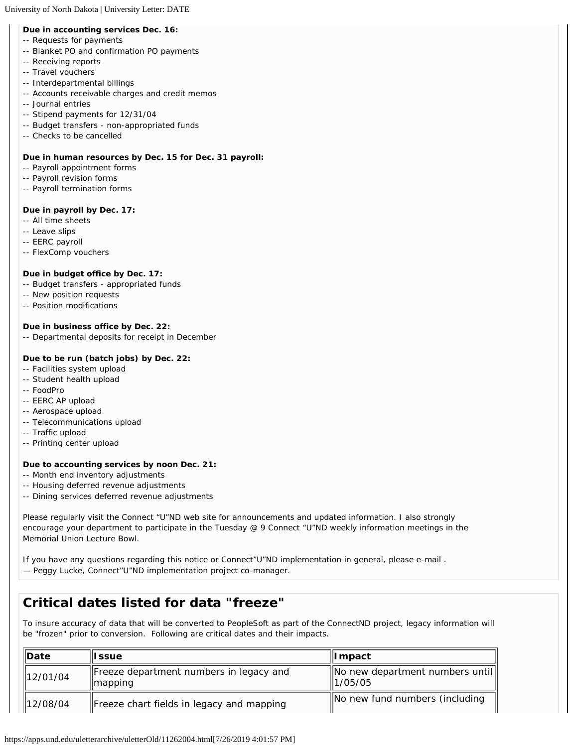#### <span id="page-11-0"></span>**Due in accounting services Dec. 16:**

- -- Requests for payments
- -- Blanket PO and confirmation PO payments
- -- Receiving reports
- -- Travel vouchers
- -- Interdepartmental billings
- -- Accounts receivable charges and credit memos
- -- Journal entries
- -- Stipend payments for 12/31/04
- -- Budget transfers non-appropriated funds
- -- Checks to be cancelled

#### **Due in human resources by Dec. 15 for Dec. 31 payroll:**

- -- Payroll appointment forms
- -- Payroll revision forms
- -- Payroll termination forms

#### **Due in payroll by Dec. 17:**

- -- All time sheets
- -- Leave slips
- -- EERC payroll
- -- FlexComp vouchers

#### **Due in budget office by Dec. 17:**

- -- Budget transfers appropriated funds
- -- New position requests
- -- Position modifications

#### **Due in business office by Dec. 22:**

-- Departmental deposits for receipt in December

#### **Due to be run (batch jobs) by Dec. 22:**

- -- Facilities system upload
- -- Student health upload
- -- FoodPro
- -- EERC AP upload
- -- Aerospace upload
- -- Telecommunications upload
- -- Traffic upload
- -- Printing center upload

#### **Due to accounting services by noon Dec. 21:**

- -- Month end inventory adjustments
- -- Housing deferred revenue adjustments
- -- Dining services deferred revenue adjustments

Please regularly visit the Connect "U"ND web site for announcements and updated information. I also strongly encourage your department to participate in the Tuesday @ 9 Connect "U"ND weekly information meetings in the Memorial Union Lecture Bowl.

If you have any questions regarding this notice or Connect"U"ND implementation in general, please e-mail . — Peggy Lucke, Connect"U"ND implementation project co-manager.

## **Critical dates listed for data "freeze"**

To insure accuracy of data that will be converted to PeopleSoft as part of the ConnectND project, legacy information will be "frozen" prior to conversion. Following are critical dates and their impacts.

| <b>IDate</b> | ll ssue                                                        | ∥I mpact                                    |
|--------------|----------------------------------------------------------------|---------------------------------------------|
| 12/01/04     | Freeze department numbers in legacy and<br>$\parallel$ mapping | No new department numbers until<br>11/05/05 |
| 12/08/04     | Freeze chart fields in legacy and mapping                      | No new fund numbers (including              |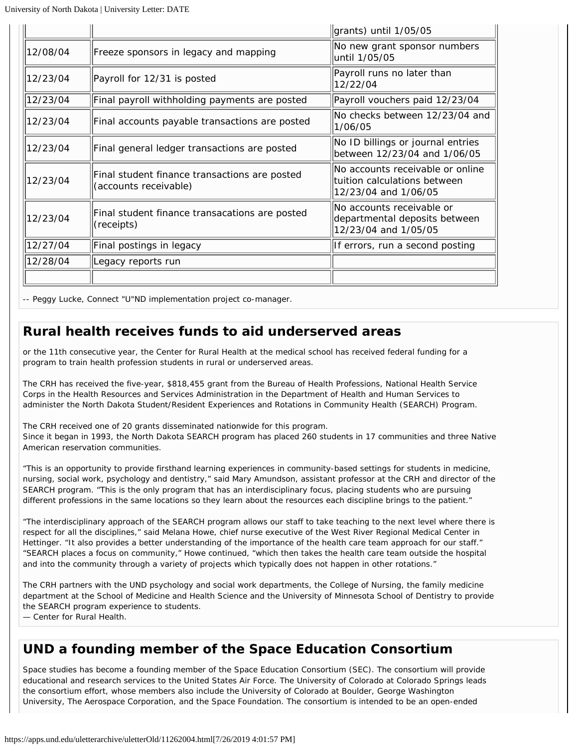|          |                                                                        | grants) until 1/05/05                                                                     |
|----------|------------------------------------------------------------------------|-------------------------------------------------------------------------------------------|
| 12/08/04 | Freeze sponsors in legacy and mapping                                  | No new grant sponsor numbers<br>until 1/05/05                                             |
| 12/23/04 | Payroll for 12/31 is posted                                            | Payroll runs no later than<br>12/22/04                                                    |
| 12/23/04 | Final payroll withholding payments are posted                          | Payroll vouchers paid 12/23/04                                                            |
| 12/23/04 | Final accounts payable transactions are posted                         | No checks between 12/23/04 and<br>1/06/05                                                 |
| 12/23/04 | Final general ledger transactions are posted                           | No ID billings or journal entries<br>between 12/23/04 and 1/06/05                         |
| 12/23/04 | Final student finance transactions are posted<br>(accounts receivable) | No accounts receivable or online<br>Ituition calculations between<br>12/23/04 and 1/06/05 |
| 12/23/04 | Final student finance transacations are posted<br>(receipts)           | No accounts receivable or<br>departmental deposits between<br>12/23/04 and 1/05/05        |
| 12/27/04 | Final postings in legacy                                               | If errors, run a second posting                                                           |
| 12/28/04 | Legacy reports run                                                     |                                                                                           |
|          |                                                                        |                                                                                           |

-- Peggy Lucke, Connect "U"ND implementation project co-manager.

## **Rural health receives funds to aid underserved areas**

or the 11th consecutive year, the Center for Rural Health at the medical school has received federal funding for a program to train health profession students in rural or underserved areas.

The CRH has received the five-year, \$818,455 grant from the Bureau of Health Professions, National Health Service Corps in the Health Resources and Services Administration in the Department of Health and Human Services to administer the North Dakota Student/Resident Experiences and Rotations in Community Health (SEARCH) Program.

The CRH received one of 20 grants disseminated nationwide for this program. Since it began in 1993, the North Dakota SEARCH program has placed 260 students in 17 communities and three Native American reservation communities.

"This is an opportunity to provide firsthand learning experiences in community-based settings for students in medicine, nursing, social work, psychology and dentistry," said Mary Amundson, assistant professor at the CRH and director of the SEARCH program. "This is the only program that has an interdisciplinary focus, placing students who are pursuing different professions in the same locations so they learn about the resources each discipline brings to the patient."

"The interdisciplinary approach of the SEARCH program allows our staff to take teaching to the next level where there is respect for all the disciplines," said Melana Howe, chief nurse executive of the West River Regional Medical Center in Hettinger. "It also provides a better understanding of the importance of the health care team approach for our staff." "SEARCH places a focus on community," Howe continued, "which then takes the health care team outside the hospital and into the community through a variety of projects which typically does not happen in other rotations."

The CRH partners with the UND psychology and social work departments, the College of Nursing, the family medicine department at the School of Medicine and Health Science and the University of Minnesota School of Dentistry to provide the SEARCH program experience to students.

— Center for Rural Health.

## **UND a founding member of the Space Education Consortium**

Space studies has become a founding member of the Space Education Consortium (SEC). The consortium will provide educational and research services to the United States Air Force. The University of Colorado at Colorado Springs leads the consortium effort, whose members also include the University of Colorado at Boulder, George Washington University, The Aerospace Corporation, and the Space Foundation. The consortium is intended to be an open-ended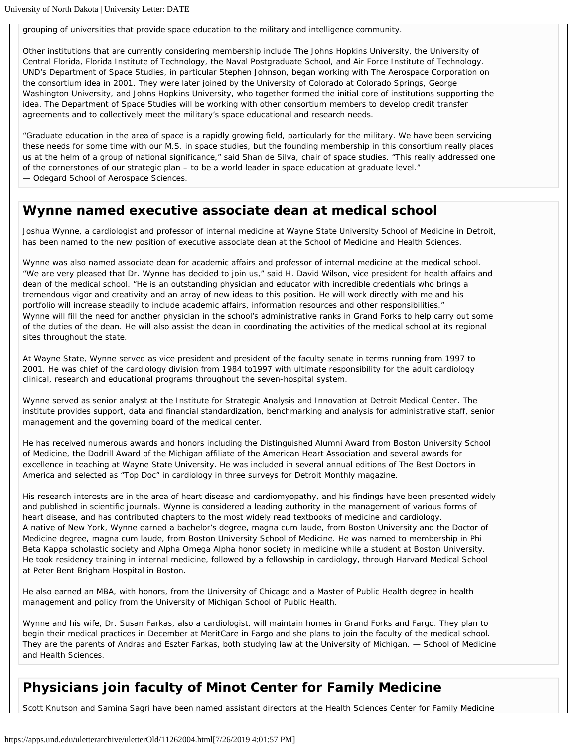grouping of universities that provide space education to the military and intelligence community.

Other institutions that are currently considering membership include The Johns Hopkins University, the University of Central Florida, Florida Institute of Technology, the Naval Postgraduate School, and Air Force Institute of Technology. UND's Department of Space Studies, in particular Stephen Johnson, began working with The Aerospace Corporation on the consortium idea in 2001. They were later joined by the University of Colorado at Colorado Springs, George Washington University, and Johns Hopkins University, who together formed the initial core of institutions supporting the idea. The Department of Space Studies will be working with other consortium members to develop credit transfer agreements and to collectively meet the military's space educational and research needs.

"Graduate education in the area of space is a rapidly growing field, particularly for the military. We have been servicing these needs for some time with our M.S. in space studies, but the founding membership in this consortium really places us at the helm of a group of national significance," said Shan de Silva, chair of space studies. "This really addressed one of the cornerstones of our strategic plan – to be a world leader in space education at graduate level." — Odegard School of Aerospace Sciences.

### **Wynne named executive associate dean at medical school**

Joshua Wynne, a cardiologist and professor of internal medicine at Wayne State University School of Medicine in Detroit, has been named to the new position of executive associate dean at the School of Medicine and Health Sciences.

Wynne was also named associate dean for academic affairs and professor of internal medicine at the medical school. "We are very pleased that Dr. Wynne has decided to join us," said H. David Wilson, vice president for health affairs and dean of the medical school. "He is an outstanding physician and educator with incredible credentials who brings a tremendous vigor and creativity and an array of new ideas to this position. He will work directly with me and his portfolio will increase steadily to include academic affairs, information resources and other responsibilities." Wynne will fill the need for another physician in the school's administrative ranks in Grand Forks to help carry out some of the duties of the dean. He will also assist the dean in coordinating the activities of the medical school at its regional sites throughout the state.

At Wayne State, Wynne served as vice president and president of the faculty senate in terms running from 1997 to 2001. He was chief of the cardiology division from 1984 to1997 with ultimate responsibility for the adult cardiology clinical, research and educational programs throughout the seven-hospital system.

Wynne served as senior analyst at the Institute for Strategic Analysis and Innovation at Detroit Medical Center. The institute provides support, data and financial standardization, benchmarking and analysis for administrative staff, senior management and the governing board of the medical center.

He has received numerous awards and honors including the Distinguished Alumni Award from Boston University School of Medicine, the Dodrill Award of the Michigan affiliate of the American Heart Association and several awards for excellence in teaching at Wayne State University. He was included in several annual editions of The Best Doctors in America and selected as "Top Doc" in cardiology in three surveys for Detroit Monthly magazine.

His research interests are in the area of heart disease and cardiomyopathy, and his findings have been presented widely and published in scientific journals. Wynne is considered a leading authority in the management of various forms of heart disease, and has contributed chapters to the most widely read textbooks of medicine and cardiology. A native of New York, Wynne earned a bachelor's degree, magna cum laude, from Boston University and the Doctor of Medicine degree, magna cum laude, from Boston University School of Medicine. He was named to membership in Phi Beta Kappa scholastic society and Alpha Omega Alpha honor society in medicine while a student at Boston University. He took residency training in internal medicine, followed by a fellowship in cardiology, through Harvard Medical School at Peter Bent Brigham Hospital in Boston.

He also earned an MBA, with honors, from the University of Chicago and a Master of Public Health degree in health management and policy from the University of Michigan School of Public Health.

Wynne and his wife, Dr. Susan Farkas, also a cardiologist, will maintain homes in Grand Forks and Fargo. They plan to begin their medical practices in December at MeritCare in Fargo and she plans to join the faculty of the medical school. They are the parents of Andras and Eszter Farkas, both studying law at the University of Michigan. — School of Medicine and Health Sciences.

## **Physicians join faculty of Minot Center for Family Medicine**

Scott Knutson and Samina Sagri have been named assistant directors at the Health Sciences Center for Family Medicine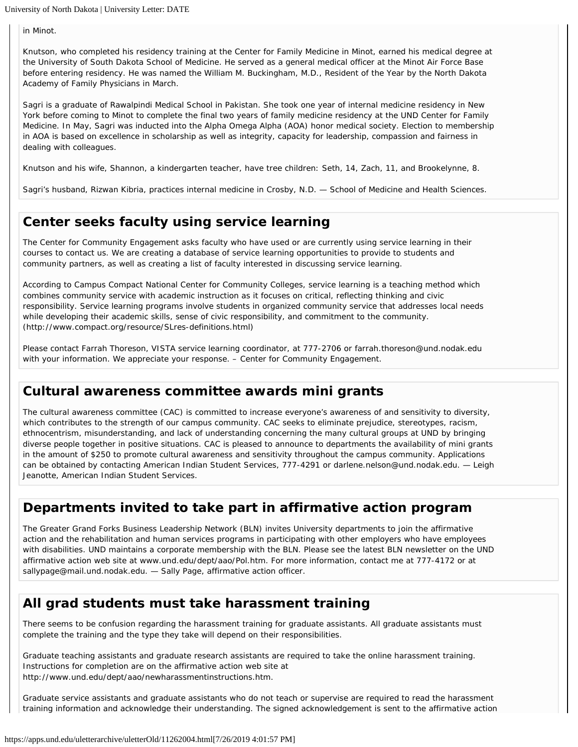in Minot.

Knutson, who completed his residency training at the Center for Family Medicine in Minot, earned his medical degree at the University of South Dakota School of Medicine. He served as a general medical officer at the Minot Air Force Base before entering residency. He was named the William M. Buckingham, M.D., Resident of the Year by the North Dakota Academy of Family Physicians in March.

Sagri is a graduate of Rawalpindi Medical School in Pakistan. She took one year of internal medicine residency in New York before coming to Minot to complete the final two years of family medicine residency at the UND Center for Family Medicine. In May, Sagri was inducted into the Alpha Omega Alpha (AOA) honor medical society. Election to membership in AOA is based on excellence in scholarship as well as integrity, capacity for leadership, compassion and fairness in dealing with colleagues.

Knutson and his wife, Shannon, a kindergarten teacher, have tree children: Seth, 14, Zach, 11, and Brookelynne, 8.

Sagri's husband, Rizwan Kibria, practices internal medicine in Crosby, N.D. — School of Medicine and Health Sciences.

## **Center seeks faculty using service learning**

The Center for Community Engagement asks faculty who have used or are currently using service learning in their courses to contact us. We are creating a database of service learning opportunities to provide to students and community partners, as well as creating a list of faculty interested in discussing service learning.

According to Campus Compact National Center for Community Colleges, service learning is a teaching method which combines community service with academic instruction as it focuses on critical, reflecting thinking and civic responsibility. Service learning programs involve students in organized community service that addresses local needs while developing their academic skills, sense of civic responsibility, and commitment to the community. (http://www.compact.org/resource/SLres-definitions.html)

Please contact Farrah Thoreson, VISTA service learning coordinator, at 777-2706 or farrah.thoreson@und.nodak.edu with your information. We appreciate your response. – Center for Community Engagement.

## **Cultural awareness committee awards mini grants**

The cultural awareness committee (CAC) is committed to increase everyone's awareness of and sensitivity to diversity, which contributes to the strength of our campus community. CAC seeks to eliminate prejudice, stereotypes, racism, ethnocentrism, misunderstanding, and lack of understanding concerning the many cultural groups at UND by bringing diverse people together in positive situations. CAC is pleased to announce to departments the availability of mini grants in the amount of \$250 to promote cultural awareness and sensitivity throughout the campus community. Applications can be obtained by contacting American Indian Student Services, 777-4291 or darlene.nelson@und.nodak.edu. — Leigh Jeanotte, American Indian Student Services.

## **Departments invited to take part in affirmative action program**

The Greater Grand Forks Business Leadership Network (BLN) invites University departments to join the affirmative action and the rehabilitation and human services programs in participating with other employers who have employees with disabilities. UND maintains a corporate membership with the BLN. Please see the latest BLN newsletter on the UND affirmative action web site at www.und.edu/dept/aao/Pol.htm. For more information, contact me at 777-4172 or at sallypage@mail.und.nodak.edu. — Sally Page, affirmative action officer.

## **All grad students must take harassment training**

There seems to be confusion regarding the harassment training for graduate assistants. All graduate assistants must complete the training and the type they take will depend on their responsibilities.

Graduate teaching assistants and graduate research assistants are required to take the online harassment training. Instructions for completion are on the affirmative action web site at http://www.und.edu/dept/aao/newharassmentinstructions.htm.

Graduate service assistants and graduate assistants who do not teach or supervise are required to read the harassment training information and acknowledge their understanding. The signed acknowledgement is sent to the affirmative action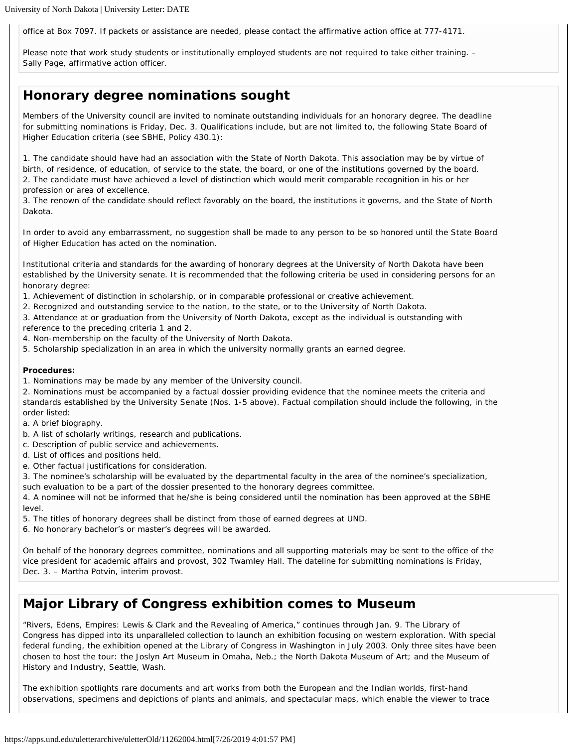office at Box 7097. If packets or assistance are needed, please contact the affirmative action office at 777-4171.

Please note that work study students or institutionally employed students are not required to take either training. – Sally Page, affirmative action officer.

## **Honorary degree nominations sought**

Members of the University council are invited to nominate outstanding individuals for an honorary degree. The deadline for submitting nominations is Friday, Dec. 3. Qualifications include, but are not limited to, the following State Board of Higher Education criteria (see SBHE, Policy 430.1):

1. The candidate should have had an association with the State of North Dakota. This association may be by virtue of birth, of residence, of education, of service to the state, the board, or one of the institutions governed by the board. 2. The candidate must have achieved a level of distinction which would merit comparable recognition in his or her profession or area of excellence.

3. The renown of the candidate should reflect favorably on the board, the institutions it governs, and the State of North Dakota.

In order to avoid any embarrassment, no suggestion shall be made to any person to be so honored until the State Board of Higher Education has acted on the nomination.

Institutional criteria and standards for the awarding of honorary degrees at the University of North Dakota have been established by the University senate. It is recommended that the following criteria be used in considering persons for an honorary degree:

- 1. Achievement of distinction in scholarship, or in comparable professional or creative achievement.
- 2. Recognized and outstanding service to the nation, to the state, or to the University of North Dakota.
- 3. Attendance at or graduation from the University of North Dakota, except as the individual is outstanding with

reference to the preceding criteria 1 and 2.

- 4. Non-membership on the faculty of the University of North Dakota.
- 5. Scholarship specialization in an area in which the university normally grants an earned degree.

#### **Procedures:**

1. Nominations may be made by any member of the University council.

2. Nominations must be accompanied by a factual dossier providing evidence that the nominee meets the criteria and standards established by the University Senate (Nos. 1-5 above). Factual compilation should include the following, in the order listed:

a. A brief biography.

- b. A list of scholarly writings, research and publications.
- c. Description of public service and achievements.
- d. List of offices and positions held.
- e. Other factual justifications for consideration.

3. The nominee's scholarship will be evaluated by the departmental faculty in the area of the nominee's specialization, such evaluation to be a part of the dossier presented to the honorary degrees committee.

4. A nominee will not be informed that he/she is being considered until the nomination has been approved at the SBHE level.

- 5. The titles of honorary degrees shall be distinct from those of earned degrees at UND.
- 6. No honorary bachelor's or master's degrees will be awarded.

On behalf of the honorary degrees committee, nominations and all supporting materials may be sent to the office of the vice president for academic affairs and provost, 302 Twamley Hall. The dateline for submitting nominations is Friday, Dec. 3. – Martha Potvin, interim provost.

## **Major Library of Congress exhibition comes to Museum**

"Rivers, Edens, Empires: Lewis & Clark and the Revealing of America," continues through Jan. 9. The Library of Congress has dipped into its unparalleled collection to launch an exhibition focusing on western exploration. With special federal funding, the exhibition opened at the Library of Congress in Washington in July 2003. Only three sites have been chosen to host the tour: the Joslyn Art Museum in Omaha, Neb.; the North Dakota Museum of Art; and the Museum of History and Industry, Seattle, Wash.

The exhibition spotlights rare documents and art works from both the European and the Indian worlds, first-hand observations, specimens and depictions of plants and animals, and spectacular maps, which enable the viewer to trace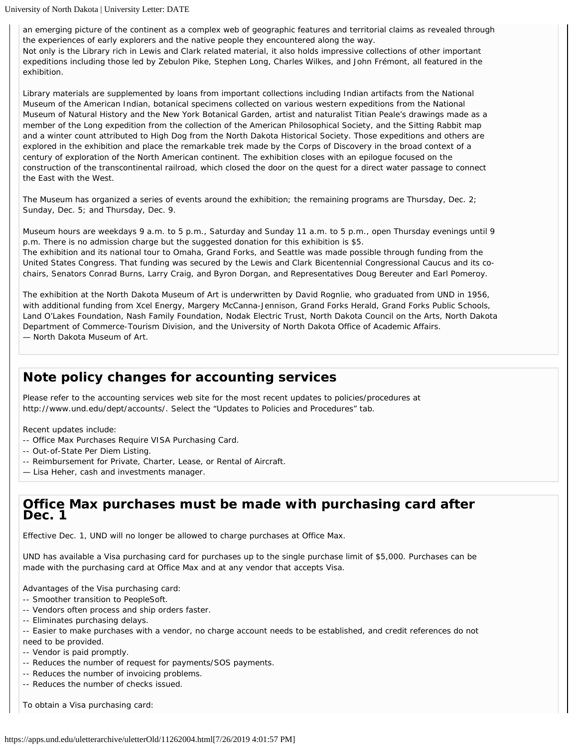an emerging picture of the continent as a complex web of geographic features and territorial claims as revealed through the experiences of early explorers and the native people they encountered along the way. Not only is the Library rich in Lewis and Clark related material, it also holds impressive collections of other important expeditions including those led by Zebulon Pike, Stephen Long, Charles Wilkes, and John Frémont, all featured in the exhibition.

Library materials are supplemented by loans from important collections including Indian artifacts from the National Museum of the American Indian, botanical specimens collected on various western expeditions from the National Museum of Natural History and the New York Botanical Garden, artist and naturalist Titian Peale's drawings made as a member of the Long expedition from the collection of the American Philosophical Society, and the Sitting Rabbit map and a winter count attributed to High Dog from the North Dakota Historical Society. Those expeditions and others are explored in the exhibition and place the remarkable trek made by the Corps of Discovery in the broad context of a century of exploration of the North American continent. The exhibition closes with an epilogue focused on the construction of the transcontinental railroad, which closed the door on the quest for a direct water passage to connect the East with the West.

The Museum has organized a series of events around the exhibition; the remaining programs are Thursday, Dec. 2; Sunday, Dec. 5; and Thursday, Dec. 9.

Museum hours are weekdays 9 a.m. to 5 p.m., Saturday and Sunday 11 a.m. to 5 p.m., open Thursday evenings until 9 p.m. There is no admission charge but the suggested donation for this exhibition is \$5. The exhibition and its national tour to Omaha, Grand Forks, and Seattle was made possible through funding from the United States Congress. That funding was secured by the Lewis and Clark Bicentennial Congressional Caucus and its cochairs, Senators Conrad Burns, Larry Craig, and Byron Dorgan, and Representatives Doug Bereuter and Earl Pomeroy.

The exhibition at the North Dakota Museum of Art is underwritten by David Rognlie, who graduated from UND in 1956, with additional funding from Xcel Energy, Margery McCanna-Jennison, Grand Forks Herald, Grand Forks Public Schools, Land O'Lakes Foundation, Nash Family Foundation, Nodak Electric Trust, North Dakota Council on the Arts, North Dakota Department of Commerce-Tourism Division, and the University of North Dakota Office of Academic Affairs. — North Dakota Museum of Art.

## **Note policy changes for accounting services**

Please refer to the accounting services web site for the most recent updates to policies/procedures at http://www.und.edu/dept/accounts/. Select the "Updates to Policies and Procedures" tab.

Recent updates include:

- -- Office Max Purchases Require VISA Purchasing Card.
- -- Out-of-State Per Diem Listing.
- -- Reimbursement for Private, Charter, Lease, or Rental of Aircraft.
- Lisa Heher, cash and investments manager.

#### **Office Max purchases must be made with purchasing card after Dec. 1**

Effective Dec. 1, UND will no longer be allowed to charge purchases at Office Max.

UND has available a Visa purchasing card for purchases up to the single purchase limit of \$5,000. Purchases can be made with the purchasing card at Office Max and at any vendor that accepts Visa.

Advantages of the Visa purchasing card:

- -- Smoother transition to PeopleSoft.
- -- Vendors often process and ship orders faster.
- -- Eliminates purchasing delays.
- -- Easier to make purchases with a vendor, no charge account needs to be established, and credit references do not need to be provided.
- -- Vendor is paid promptly.
- -- Reduces the number of request for payments/SOS payments.
- -- Reduces the number of invoicing problems.
- -- Reduces the number of checks issued.

To obtain a Visa purchasing card: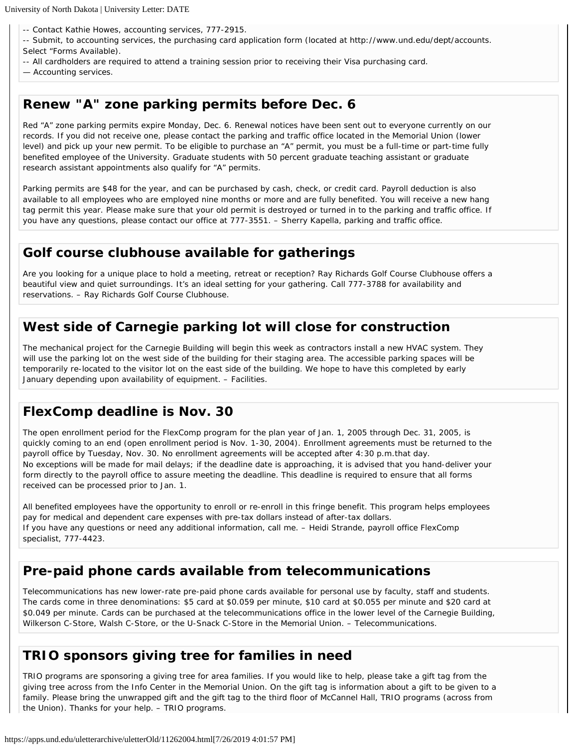-- Contact Kathie Howes, accounting services, 777-2915.

- -- Submit, to accounting services, the purchasing card application form (located at http://www.und.edu/dept/accounts. Select "Forms Available).
- -- All cardholders are required to attend a training session prior to receiving their Visa purchasing card.
- Accounting services.

## **Renew "A" zone parking permits before Dec. 6**

Red "A" zone parking permits expire Monday, Dec. 6. Renewal notices have been sent out to everyone currently on our records. If you did not receive one, please contact the parking and traffic office located in the Memorial Union (lower level) and pick up your new permit. To be eligible to purchase an "A" permit, you must be a full-time or part-time fully benefited employee of the University. Graduate students with 50 percent graduate teaching assistant or graduate research assistant appointments also qualify for "A" permits.

Parking permits are \$48 for the year, and can be purchased by cash, check, or credit card. Payroll deduction is also available to all employees who are employed nine months or more and are fully benefited. You will receive a new hang tag permit this year. Please make sure that your old permit is destroyed or turned in to the parking and traffic office. If you have any questions, please contact our office at 777-3551. – Sherry Kapella, parking and traffic office.

## **Golf course clubhouse available for gatherings**

Are you looking for a unique place to hold a meeting, retreat or reception? Ray Richards Golf Course Clubhouse offers a beautiful view and quiet surroundings. It's an ideal setting for your gathering. Call 777-3788 for availability and reservations. – Ray Richards Golf Course Clubhouse.

## **West side of Carnegie parking lot will close for construction**

The mechanical project for the Carnegie Building will begin this week as contractors install a new HVAC system. They will use the parking lot on the west side of the building for their staging area. The accessible parking spaces will be temporarily re-located to the visitor lot on the east side of the building. We hope to have this completed by early January depending upon availability of equipment. – Facilities.

## **FlexComp deadline is Nov. 30**

The open enrollment period for the FlexComp program for the plan year of Jan. 1, 2005 through Dec. 31, 2005, is quickly coming to an end (open enrollment period is Nov. 1-30, 2004). Enrollment agreements must be returned to the payroll office by Tuesday, Nov. 30. No enrollment agreements will be accepted after 4:30 p.m.that day. No exceptions will be made for mail delays; if the deadline date is approaching, it is advised that you hand-deliver your form directly to the payroll office to assure meeting the deadline. This deadline is required to ensure that all forms received can be processed prior to Jan. 1.

All benefited employees have the opportunity to enroll or re-enroll in this fringe benefit. This program helps employees pay for medical and dependent care expenses with pre-tax dollars instead of after-tax dollars. If you have any questions or need any additional information, call me. – Heidi Strande, payroll office FlexComp specialist, 777-4423.

## **Pre-paid phone cards available from telecommunications**

Telecommunications has new lower-rate pre-paid phone cards available for personal use by faculty, staff and students. The cards come in three denominations: \$5 card at \$0.059 per minute, \$10 card at \$0.055 per minute and \$20 card at \$0.049 per minute. Cards can be purchased at the telecommunications office in the lower level of the Carnegie Building, Wilkerson C-Store, Walsh C-Store, or the U-Snack C-Store in the Memorial Union. – Telecommunications.

## **TRIO sponsors giving tree for families in need**

TRIO programs are sponsoring a giving tree for area families. If you would like to help, please take a gift tag from the giving tree across from the Info Center in the Memorial Union. On the gift tag is information about a gift to be given to a family. Please bring the unwrapped gift and the gift tag to the third floor of McCannel Hall, TRIO programs (across from the Union). Thanks for your help. – TRIO programs.